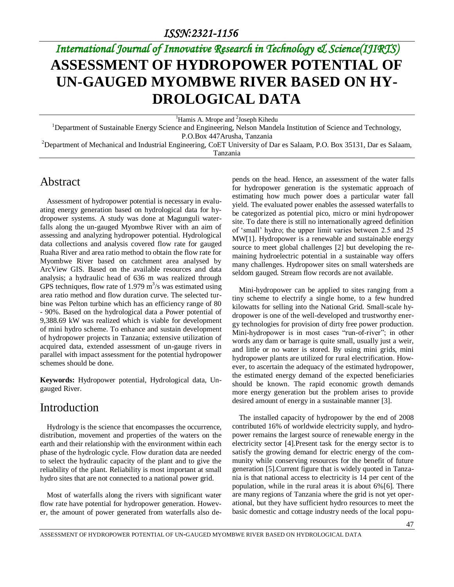# *International Journal of Innovative Research in Technology & Science(IJIRTS)* **ASSESSMENT OF HYDROPOWER POTENTIAL OF UN-GAUGED MYOMBWE RIVER BASED ON HY-DROLOGICAL DATA**

<sup>1</sup>Hamis A. Mrope and <sup>2</sup>Joseph Kihedu

<sup>1</sup>Department of Sustainable Energy Science and Engineering, Nelson Mandela Institution of Science and Technology, P.O.Box 447Arusha, Tanzania

<sup>2</sup>Department of Mechanical and Industrial Engineering, CoET University of Dar es Salaam, P.O. Box 35131, Dar es Salaam, Tanzania

### Abstract

Assessment of hydropower potential is necessary in evaluating energy generation based on hydrological data for hydropower systems. A study was done at Magunguli waterfalls along the un-gauged Myombwe River with an aim of assessing and analyzing hydropower potential. Hydrological data collections and analysis covered flow rate for gauged Ruaha River and area ratio method to obtain the flow rate for Myombwe River based on catchment area analysed by ArcView GIS. Based on the available resources and data analysis; a hydraulic head of 636 m was realized through GPS techniques, flow rate of 1.979  $m^3/s$  was estimated using area ratio method and flow duration curve. The selected turbine was Pelton turbine which has an efficiency range of 80 - 90%. Based on the hydrological data a Power potential of 9,388.69 kW was realized which is viable for development of mini hydro scheme. To enhance and sustain development of hydropower projects in Tanzania; extensive utilization of acquired data, extended assessment of un-gauge rivers in parallel with impact assessment for the potential hydropower schemes should be done.

**Keywords:** Hydropower potential, Hydrological data, Ungauged River.

## Introduction

Hydrology is the science that encompasses the occurrence, distribution, movement and properties of the waters on the earth and their relationship with the environment within each phase of the hydrologic cycle. Flow duration data are needed to select the hydraulic capacity of the plant and to give the reliability of the plant. Reliability is most important at small hydro sites that are not connected to a national power grid.

Most of waterfalls along the rivers with significant water flow rate have potential for hydropower generation. However, the amount of power generated from waterfalls also depends on the head. Hence, an assessment of the water falls for hydropower generation is the systematic approach of estimating how much power does a particular water fall yield. The evaluated power enables the assessed waterfalls to be categorized as potential pico, micro or mini hydropower site. To date there is still no internationally agreed definition of 'small' hydro; the upper limit varies between 2.5 and 25 MW[\[1\]](#page-7-0). Hydropower is a renewable and sustainable energy source to meet global challenges [\[2\]](#page-7-1) but developing the remaining hydroelectric potential in a sustainable way offers many challenges. Hydropower sites on small watersheds are seldom gauged. Stream flow records are not available.

Mini-hydropower can be applied to sites ranging from a tiny scheme to electrify a single home, to a few hundred kilowatts for selling into the National Grid. Small-scale hydropower is one of the well-developed and trustworthy energy technologies for provision of dirty free power production. Mini-hydropower is in most cases "run-of-river"; in other words any dam or barrage is quite small, usually just a weir, and little or no water is stored. By using mini grids, mini hydropower plants are utilized for rural electrification. However, to ascertain the adequacy of the estimated hydropower, the estimated energy demand of the expected beneficiaries should be known. The rapid economic growth demands more energy generation but the problem arises to provide desired amount of energy in a sustainable manner [\[3\]](#page-7-2).

The installed capacity of hydropower by the end of 2008 contributed 16% of worldwide electricity supply, and hydropower remains the largest source of renewable energy in the electricity sector [\[4\]](#page-7-3).Present task for the energy sector is to satisfy the growing demand for electric energy of the community while conserving resources for the benefit of future generation [\[5\]](#page-7-4).Current figure that is widely quoted in Tanzania is that national access to electricity is 14 per cent of the population, while in the rural areas it is about 6%[\[6\]](#page-7-5). There are many regions of Tanzania where the grid is not yet operational, but they have sufficient hydro resources to meet the basic domestic and cottage industry needs of the local popu-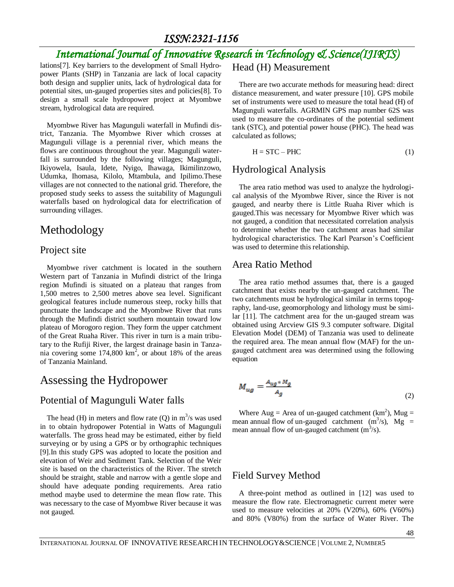## *International Journal of Innovative Research in Technology & Science(IJIRTS)*

lations[\[7\]](#page-7-6). Key barriers to the development of Small Hydropower Plants (SHP) in Tanzania are lack of local capacity both design and supplier units, lack of hydrological data for potential sites, un-gauged properties sites and policies[\[8\]](#page-7-7). To design a small scale hydropower project at Myombwe stream, hydrological data are required.

Myombwe River has Magunguli waterfall in Mufindi district, Tanzania. The Myombwe River which crosses at Magunguli village is a perennial river, which means the flows are continuous throughout the year. Magunguli waterfall is surrounded by the following villages; Magunguli, Ikiyowela, Isaula, Idete, Nyigo, Ihawaga, Ikimilinzowo, Udumka, Ihomasa, Kilolo, Mtambula, and Ipilimo.These villages are not connected to the national grid. Therefore, the proposed study seeks to assess the suitability of Magunguli waterfalls based on hydrological data for electrification of surrounding villages.

### Methodology

#### Project site

Myombwe river catchment is located in the southern Western part of Tanzania in Mufindi district of the Iringa region Mufindi is situated on a plateau that ranges from 1,500 metres to 2,500 metres above sea level. Significant geological features include numerous steep, rocky hills that punctuate the landscape and the Myombwe River that runs through the Mufindi district southern mountain toward low plateau of Morogoro region. They form the upper catchment of the Great Ruaha River. This river in turn is a main tributary to the Rufiji River, the largest drainage basin in Tanzania covering some  $174,800 \text{ km}^2$ , or about 18% of the areas of Tanzania Mainland.

### Assessing the Hydropower

#### Potential of Magunguli Water falls

The head (H) in meters and flow rate (Q) in  $m^3/s$  was used in to obtain hydropower Potential in Watts of Magunguli waterfalls. The gross head may be estimated, either by field surveying or by using a GPS or by orthographic techniques [\[9\]](#page-7-8).In this study GPS was adopted to locate the position and elevation of Weir and Sediment Tank. Selection of the Weir site is based on the characteristics of the River. The stretch should be straight, stable and narrow with a gentle slope and should have adequate ponding requirements. Area ratio method maybe used to determine the mean flow rate. This was necessary to the case of Myombwe River because it was not gauged.

Head (H) Measurement

There are two accurate methods for measuring head: direct distance measurement, and water pressure [\[10\]](#page-7-9). GPS mobile set of instruments were used to measure the total head (H) of Magunguli waterfalls. AGRMIN GPS map number 62S was used to measure the co-ordinates of the potential sediment tank (STC), and potential power house (PHC). The head was calculated as follows;

$$
H = STC - PHC \tag{1}
$$

#### Hydrological Analysis

The area ratio method was used to analyze the hydrological analysis of the Myombwe River, since the River is not gauged, and nearby there is Little Ruaha River which is gauged.This was necessary for Myombwe River which was not gauged, a condition that necessitated correlation analysis to determine whether the two catchment areas had similar hydrological characteristics. The Karl Pearson's Coefficient was used to determine this relationship.

#### Area Ratio Method

The area ratio method assumes that, there is a gauged catchment that exists nearby the un-gauged catchment. The two catchments must be hydrological similar in terms topography, land-use, geomorphology and lithology must be similar [\[11\]](#page-7-10). The catchment area for the un-gauged stream was obtained using Arcview GIS 9.3 computer software. Digital Elevation Model (DEM) of Tanzania was used to delineate the required area. The mean annual flow (MAF) for the ungauged catchment area was determined using the following equation

$$
M_{ug} = \frac{A_{ug} * M_g}{A_g} \tag{2}
$$

Where Aug = Area of un-gauged catchment  $(km^2)$ , Mug = mean annual flow of un-gauged catchment  $(m^3/s)$ , Mg = mean annual flow of un-gauged catchment  $(m^3/s)$ .

#### Field Survey Method

A three-point method as outlined in [\[12\]](#page-7-11) was used to measure the flow rate. Electromagnetic current meter were used to measure velocities at 20% (V20%), 60% (V60%) and 80% (V80%) from the surface of Water River. The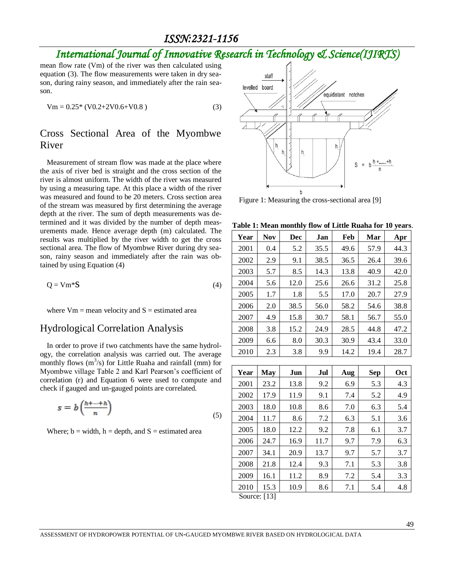## *International Journal of Innovative Research in Technology & Science(IJIRTS)*

mean flow rate (Vm) of the river was then calculated using equation (3). The flow measurements were taken in dry season, during rainy season, and immediately after the rain season.

$$
Vm = 0.25^* (V0.2 + 2V0.6 + V0.8)
$$
 (3)

#### Cross Sectional Area of the Myombwe River

Measurement of stream flow was made at the place where the axis of river bed is straight and the cross section of the river is almost uniform. The width of the river was measured by using a measuring tape. At this place a width of the river was measured and found to be 20 meters. Cross section area of the stream was measured by first determining the average depth at the river. The sum of depth measurements was determined and it was divided by the number of depth measurements made. Hence average depth (m) calculated. The results was multiplied by the river width to get the cross sectional area. The flow of Myombwe River during dry season, rainy season and immediately after the rain was obtained by using Equation (4)

$$
Q = Vm^*S \tag{4}
$$

where  $Vm =$  mean velocity and  $S =$  estimated area

#### Hydrological Correlation Analysis

In order to prove if two catchments have the same hydrology, the correlation analysis was carried out. The average monthly flows  $(m^3/s)$  for Little Ruaha and rainfall (mm) for Myombwe village Table 2 and Karl Pearson's coefficient of correlation (r) and Equation 6 were used to compute and check if gauged and un-gauged points are correlated.

$$
s = b\left(\frac{h^{+...+h}}{n}\right) \tag{5}
$$

Where;  $b = width$ ,  $h = depth$ , and  $S = estimated$  area



Figure 1: Measuring the cross-sectional area [\[9\]](#page-7-8)

**Table 1: Mean monthly flow of Little Ruaha for 10 years**.

| Year | <b>Nov</b> | Dec  | Jan  | Feb  | Mar  | Apr  |
|------|------------|------|------|------|------|------|
| 2001 | 0.4        | 5.2  | 35.5 | 49.6 | 57.9 | 44.3 |
| 2002 | 2.9        | 9.1  | 38.5 | 36.5 | 26.4 | 39.6 |
| 2003 | 5.7        | 8.5  | 14.3 | 13.8 | 40.9 | 42.0 |
| 2004 | 5.6        | 12.0 | 25.6 | 26.6 | 31.2 | 25.8 |
| 2005 | 1.7        | 1.8  | 5.5  | 17.0 | 20.7 | 27.9 |
| 2006 | 2.0        | 38.5 | 56.0 | 58.2 | 54.6 | 38.8 |
| 2007 | 4.9        | 15.8 | 30.7 | 58.1 | 56.7 | 55.0 |
| 2008 | 3.8        | 15.2 | 24.9 | 28.5 | 44.8 | 47.2 |
| 2009 | 6.6        | 8.0  | 30.3 | 30.9 | 43.4 | 33.0 |
| 2010 | 2.3        | 3.8  | 9.9  | 14.2 | 19.4 | 28.7 |

| Year | <b>May</b>                                   | Jun  | Jul  | Aug | <b>Sep</b> | <b>Oct</b> |
|------|----------------------------------------------|------|------|-----|------------|------------|
| 2001 | 23.2                                         | 13.8 | 9.2  | 6.9 | 5.3        | 4.3        |
| 2002 | 17.9                                         | 11.9 | 9.1  | 7.4 | 5.2        | 4.9        |
| 2003 | 18.0                                         | 10.8 | 8.6  | 7.0 | 6.3        | 5.4        |
| 2004 | 11.7                                         | 8.6  | 7.2  | 6.3 | 5.1        | 3.6        |
| 2005 | 18.0                                         | 12.2 | 9.2  | 7.8 | 6.1        | 3.7        |
| 2006 | 24.7                                         | 16.9 | 11.7 | 9.7 | 7.9        | 6.3        |
| 2007 | 34.1                                         | 20.9 | 13.7 | 9.7 | 5.7        | 3.7        |
| 2008 | 21.8                                         | 12.4 | 9.3  | 7.1 | 5.3        | 3.8        |
| 2009 | 16.1                                         | 11.2 | 8.9  | 7.2 | 5.4        | 3.3        |
| 2010 | 15.3                                         | 10.9 | 8.6  | 7.1 | 5.4        | 4.8        |
|      | $\mathcal{C}_{\alpha\mu\alpha\alpha}$ , [12] |      |      |     |            |            |

Source: [\[13\]](#page-7-12)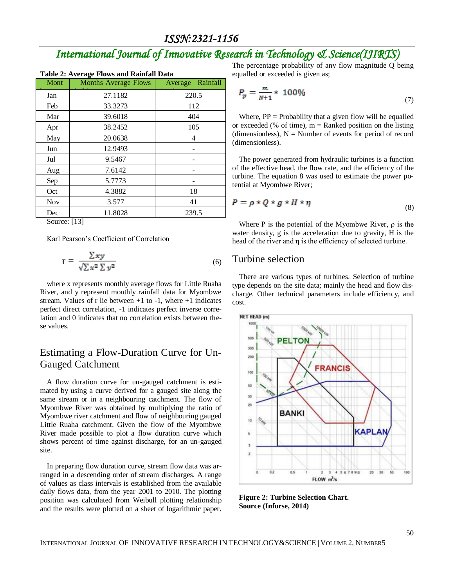# *International Journal of Innovative Research in Technology & Science(IJIRTS)*

| <b>Table 2: Average Flows and Rainfall Data</b> |                             |                  |  |  |  |  |
|-------------------------------------------------|-----------------------------|------------------|--|--|--|--|
| Mont                                            | <b>Months Average Flows</b> | Average Rainfall |  |  |  |  |
| Jan                                             | 27.1182                     | 220.5            |  |  |  |  |
| Feb                                             | 33.3273                     | 112              |  |  |  |  |
| Mar                                             | 39.6018                     | 404              |  |  |  |  |
| Apr                                             | 38.2452                     | 105              |  |  |  |  |
| May                                             | 20.0638                     | 4                |  |  |  |  |
| Jun                                             | 12.9493                     |                  |  |  |  |  |
| Jul                                             | 9.5467                      |                  |  |  |  |  |
| Aug                                             | 7.6142                      |                  |  |  |  |  |
| Sep                                             | 5.7773                      |                  |  |  |  |  |
| Oct                                             | 4.3882                      | 18               |  |  |  |  |
| <b>Nov</b>                                      | 3.577                       | 41               |  |  |  |  |
| Dec                                             | 11.8028                     | 239.5            |  |  |  |  |
| Source: [13]                                    |                             |                  |  |  |  |  |

Source: [\[13\]](#page-7-12)

Karl Pearson's Coefficient of Correlation

$$
r = \frac{\sum xy}{\sqrt{\sum x^2 \sum y^2}}\tag{6}
$$

where x represents monthly average flows for Little Ruaha River, and y represent monthly rainfall data for Myombwe stream. Values of r lie between  $+1$  to  $-1$ , where  $+1$  indicates perfect direct correlation, -1 indicates perfect inverse correlation and 0 indicates that no correlation exists between these values.

#### Estimating a Flow-Duration Curve for Un-Gauged Catchment

A flow duration curve for un-gauged catchment is estimated by using a curve derived for a gauged site along the same stream or in a neighbouring catchment. The flow of Myombwe River was obtained by multiplying the ratio of Myombwe river catchment and flow of neighbouring gauged Little Ruaha catchment. Given the flow of the Myombwe River made possible to plot a flow duration curve which shows percent of time against discharge, for an un-gauged site.

In preparing flow duration curve, stream flow data was arranged in a descending order of stream discharges. A range of values as class intervals is established from the available daily flows data, from the year 2001 to 2010. The plotting position was calculated from Weibull plotting relationship and the results were plotted on a sheet of logarithmic paper.

The percentage probability of any flow magnitude Q being equalled or exceeded is given as;

$$
P_p = \frac{m}{N+1} * 100\%
$$
 (7)

Where,  $PP = Probability$  that a given flow will be equalled or exceeded (% of time),  $m =$  Ranked position on the listing (dimensionless),  $N =$  Number of events for period of record (dimensionless).

The power generated from hydraulic turbines is a function of the effective head, the flow rate, and the efficiency of the turbine. The equation 8 was used to estimate the power potential at Myombwe River;

$$
P = \rho * Q * g * H * \eta \tag{8}
$$

Where P is the potential of the Myombwe River,  $\rho$  is the water density, g is the acceleration due to gravity, H is the head of the river and η is the efficiency of selected turbine.

#### Turbine selection

There are various types of turbines. Selection of turbine type depends on the site data; mainly the head and flow discharge. Other technical parameters include efficiency, and cost.



**Figure 2: Turbine Selection Chart. Source (Inforse, 2014)**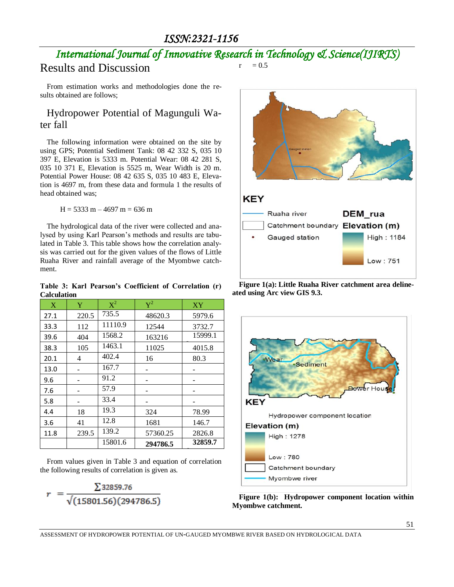### *International Journal of Innovative Research in Technology & Science(IJIRTS)*  $r = 0.5$

## Results and Discussion

From estimation works and methodologies done the results obtained are follows;

#### Hydropower Potential of Magunguli Water fall

The following information were obtained on the site by using GPS; Potential Sediment Tank: 08 42 332 S, 035 10 397 E, Elevation is 5333 m. Potential Wear: 08 42 281 S, 035 10 371 E, Elevation is 5525 m, Wear Width is 20 m. Potential Power House: 08 42 635 S, 035 10 483 E, Elevation is 4697 m, from these data and formula 1 the results of head obtained was;

 $H = 5333$  m  $- 4697$  m  $= 636$  m

The hydrological data of the river were collected and analysed by using Karl Pearson's methods and results are tabulated in Table 3. This table shows how the correlation analysis was carried out for the given values of the flows of Little Ruaha River and rainfall average of the Myombwe catchment.

**Table 3: Karl Pearson's Coefficient of Correlation (r) Calculation** 

| Y     | $X^2$   | $\rm Y^2$ | XY      |
|-------|---------|-----------|---------|
|       |         |           |         |
| 220.5 | 735.5   | 48620.3   | 5979.6  |
| 112   | 11110.9 | 12544     | 3732.7  |
| 404   | 1568.2  | 163216    | 15999.1 |
| 105   | 1463.1  | 11025     | 4015.8  |
| 4     | 402.4   | 16        | 80.3    |
|       | 167.7   |           |         |
|       | 91.2    |           |         |
|       | 57.9    |           |         |
|       | 33.4    |           |         |
| 18    | 19.3    | 324       | 78.99   |
| 41    | 12.8    | 1681      | 146.7   |
| 239.5 | 139.2   | 57360.25  | 2826.8  |
|       | 15801.6 | 294786.5  | 32859.7 |
|       |         |           |         |

From values given in Table 3 and equation of correlation the following results of correlation is given as.

$$
r = \frac{\sum 32859.76}{\sqrt{(15801.56)(294786.5)}}
$$



**Figure 1(a): Little Ruaha River catchment area delineated using Arc view GIS 9.3.**



**Figure 1(b): Hydropower component location within Myombwe catchment.**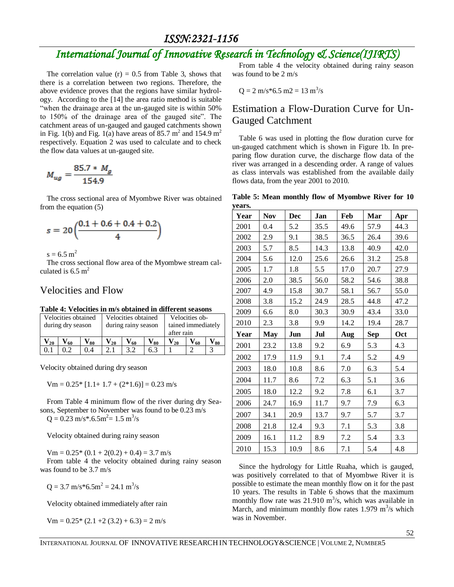## *International Journal of Innovative Research in Technology & Science(IJIRTS)*

The correlation value  $(r) = 0.5$  from Table 3, shows that there is a correlation between two regions. Therefore, the above evidence proves that the regions have similar hydrology. According to the [\[14\]](#page-7-13) the area ratio method is suitable "when the drainage area at the un-gauged site is within 50% to 150% of the drainage area of the gauged site". The catchment areas of un-gauged and gauged catchments shown in Fig. 1(b) and Fig. 1(a) have areas of 85.7  $m^2$  and 154.9  $m^2$ respectively. Equation 2 was used to calculate and to check the flow data values at un-gauged site.

$$
M_{ug} = \frac{85.7 * M_g}{154.9}
$$

The cross sectional area of Myombwe River was obtained from the equation (5)

$$
s=20\Bigl(\frac{0.1+0.6+0.4+0.2}{4}\Bigr)
$$

 $s = 6.5$  m<sup>2</sup>

The cross sectional flow area of the Myombwe stream calculated is  $6.5 \text{ m}^2$ 

#### Velocities and Flow

#### **Table 4: Velocities in m/s obtained in different seasons**

| Velocities obtained<br>during dry season |    |      |                            | Velocities obtained<br>during rainy season |                   |          | Velocities ob-<br>tained immediately<br>after rain |          |  |
|------------------------------------------|----|------|----------------------------|--------------------------------------------|-------------------|----------|----------------------------------------------------|----------|--|
| 20                                       | 60 | V≀so | $\mathbf{V}_{\mathbf{20}}$ | $V_{60}$                                   | $\mathbf{V_{80}}$ | $V_{20}$ | ${\rm V}_{60}$                                     | $V_{80}$ |  |
|                                          |    | 0.4  |                            | 39                                         | 6.3               |          |                                                    |          |  |

Velocity obtained during dry season

 $Vm = 0.25 * [1.1 + 1.7 + (2 * 1.6)] = 0.23$  m/s

From Table 4 minimum flow of the river during dry Seasons, September to November was found to be 0.23 m/s  $Q = 0.23$  m/s\*.6.5m<sup>2</sup> = 1.5 m<sup>3</sup>/s

Velocity obtained during rainy season

 $Vm = 0.25*(0.1 + 2(0.2) + 0.4) = 3.7$  m/s

From table 4 the velocity obtained during rainy season was found to be 3.7 m/s

 $Q = 3.7$  m/s\*6.5m<sup>2</sup> = 24.1 m<sup>3</sup>/s

Velocity obtained immediately after rain

 $Vm = 0.25*(2.1 + 2(3.2) + 6.3) = 2 \text{ m/s}$ 

From table 4 the velocity obtained during rainy season was found to be 2 m/s

$$
Q = 2 \text{ m/s}^* 6.5 \text{ m} 2 = 13 \text{ m}^3/\text{s}
$$

#### Estimation a Flow-Duration Curve for Un-Gauged Catchment

Table 6 was used in plotting the flow duration curve for un-gauged catchment which is shown in Figure 1b. In preparing flow duration curve, the discharge flow data of the river was arranged in a descending order. A range of values as class intervals was established from the available daily flows data, from the year 2001 to 2010.

| Table 5: Mean monthly flow of Myombwe River for 10 |  |  |  |  |
|----------------------------------------------------|--|--|--|--|
| years.                                             |  |  |  |  |

| Year | <b>Nov</b> | <b>Dec</b> | Jan  | Feb  | Mar  | Apr  |
|------|------------|------------|------|------|------|------|
| 2001 | 0.4        | 5.2        | 35.5 | 49.6 | 57.9 | 44.3 |
| 2002 | 2.9        | 9.1        | 38.5 | 36.5 | 26.4 | 39.6 |
| 2003 | 5.7        | 8.5        | 14.3 | 13.8 | 40.9 | 42.0 |
| 2004 | 5.6        | 12.0       | 25.6 | 26.6 | 31.2 | 25.8 |
| 2005 | 1.7        | 1.8        | 5.5  | 17.0 | 20.7 | 27.9 |
| 2006 | 2.0        | 38.5       | 56.0 | 58.2 | 54.6 | 38.8 |
| 2007 | 4.9        | 15.8       | 30.7 | 58.1 | 56.7 | 55.0 |
| 2008 | 3.8        | 15.2       | 24.9 | 28.5 | 44.8 | 47.2 |
| 2009 | 6.6        | 8.0        | 30.3 | 30.9 | 43.4 | 33.0 |
| 2010 | 2.3        | 3.8        | 9.9  | 14.2 | 19.4 | 28.7 |
| Year | <b>May</b> | Jun        | Jul  | Aug  | Sep  | Oct  |
| 2001 | 23.2       | 13.8       | 9.2  | 6.9  | 5.3  | 4.3  |
| 2002 | 17.9       | 11.9       | 9.1  | 7.4  | 5.2  | 4.9  |
| 2003 | 18.0       | 10.8       | 8.6  | 7.0  | 6.3  | 5.4  |
| 2004 | 11.7       | 8.6        | 7.2  | 6.3  | 5.1  | 3.6  |
| 2005 | 18.0       | 12.2       | 9.2  | 7.8  | 6.1  | 3.7  |
| 2006 | 24.7       | 16.9       | 11.7 | 9.7  | 7.9  | 6.3  |
| 2007 | 34.1       | 20.9       | 13.7 | 9.7  | 5.7  | 3.7  |
| 2008 | 21.8       | 12.4       | 9.3  | 7.1  | 5.3  | 3.8  |
| 2009 | 16.1       | 11.2       | 8.9  | 7.2  | 5.4  | 3.3  |
| 2010 | 15.3       | 10.9       | 8.6  | 7.1  | 5.4  | 4.8  |

Since the hydrology for Little Ruaha, which is gauged, was positively correlated to that of Myombwe River it is possible to estimate the mean monthly flow on it for the past 10 years. The results in Table 6 shows that the maximum monthly flow rate was  $21.910 \text{ m}^3\text{/s}$ , which was available in March, and minimum monthly flow rates 1.979  $\mathrm{m}^3$ /s which was in November.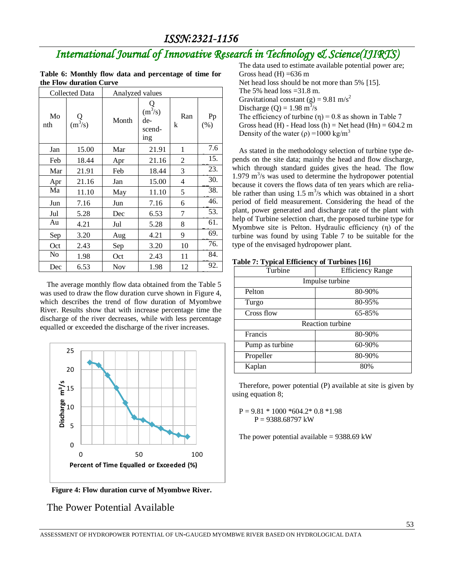## *International Journal of Innovative Research in Technology & Science(IJIRTS)*

|                         |  | Table 6: Monthly flow data and percentage of time for |  |  |
|-------------------------|--|-------------------------------------------------------|--|--|
| the Flow duration Curve |  |                                                       |  |  |

| <b>Collected Data</b> |                  | Analyzed values |                                                                                |          |            |
|-----------------------|------------------|-----------------|--------------------------------------------------------------------------------|----------|------------|
| Mo<br>nth             | $Q$<br>$(m^3/s)$ | Month           | $Q$<br>(m <sup>3</sup> /s)<br>de-<br>scend-<br>$\frac{\text{in}g}{\text{in}g}$ | Ran<br>k | Pp<br>(% ) |
| Jan                   | 15.00            | Mar             | 21.91                                                                          | 1        | 7.6        |
| Feb                   | 18.44            | Apr             | 21.16                                                                          | 2        | 15.        |
| Mar                   | 21.91            | Feb             | 18.44                                                                          | 3        | 23.        |
| Apr                   | 21.16            | Jan             | 15.00                                                                          | 4        | 30.        |
| Ma                    | 11.10            | May             | 11.10                                                                          | 5        | 38.        |
| Jun                   | 7.16             | Jun             | 7.16                                                                           | 6        | 46.        |
| Jul                   | 5.28             | Dec             | 6.53                                                                           | 7        | 53.        |
| Au                    | 4.21             | Jul             | 5.28                                                                           | 8        | 61.        |
| Sep                   | 3.20             | Aug             | 4.21                                                                           | 9        | 69.        |
| Oct                   | 2.43             | Sep             | 3.20                                                                           | 10       | 76.        |
| N <sub>0</sub>        | 1.98             | Oct             | 2.43                                                                           | 11       | 84.        |
| Dec                   | 6.53             | Nov             | 1.98                                                                           | 12       | 92.        |

The average monthly flow data obtained from the Table 5 was used to draw the flow duration curve shown in Figure 4, which describes the trend of flow duration of Myombwe River. Results show that with increase percentage time the discharge of the river decreases, while with less percentage equalled or exceeded the discharge of the river increases.



**Figure 4: Flow duration curve of Myombwe River.**

#### The Power Potential Available

The data used to estimate available potential power are; Gross head  $(H) = 636$  m Net head loss should be not more than 5% [\[15\]](#page-7-14). The 5% head loss  $=31.8$  m. Gravitational constant (g) = 9.81 m/s<sup>2</sup> Discharge (Q) =  $1.98 \text{ m}^3/\text{s}$ The efficiency of turbine  $(\eta) = 0.8$  as shown in Table 7 Gross head (H) - Head loss (h) = Net head (Hn) =  $604.2 \text{ m}$ Density of the water ( $\rho$ ) =1000 kg/m<sup>3</sup>

As stated in the methodology selection of turbine type depends on the site data; mainly the head and flow discharge, which through standard guides gives the head. The flow  $1.979 \text{ m}^3/\text{s}$  was used to determine the hydropower potential because it covers the flows data of ten years which are reliable rather than using  $1.5 \text{ m}^3\text{/s}$  which was obtained in a short period of field measurement. Considering the head of the plant, power generated and discharge rate of the plant with help of Turbine selection chart, the proposed turbine type for Myombwe site is Pelton. Hydraulic efficiency (η) of the turbine was found by using Table 7 to be suitable for the type of the envisaged hydropower plant.

| Turbine         | <b>Efficiency Range</b> |  |  |  |  |
|-----------------|-------------------------|--|--|--|--|
| Impulse turbine |                         |  |  |  |  |
| Pelton          | 80-90%                  |  |  |  |  |
| Turgo           | 80-95%                  |  |  |  |  |
| Cross flow      | 65-85%                  |  |  |  |  |
|                 | Reaction turbine        |  |  |  |  |
| Francis         | 80-90%                  |  |  |  |  |
| Pump as turbine | 60-90%                  |  |  |  |  |
| Propeller       | 80-90%                  |  |  |  |  |
| Kaplan          | 80%                     |  |  |  |  |

| Table 7: Typical Efficiency of Turbines [16] |  |  |
|----------------------------------------------|--|--|
|----------------------------------------------|--|--|

Therefore, power potential (P) available at site is given by using equation 8;

 $P = 9.81 * 1000 * 604.2 * 0.8 * 1.98$ P = 9388.68797 kW

The power potential available =  $9388.69$  kW